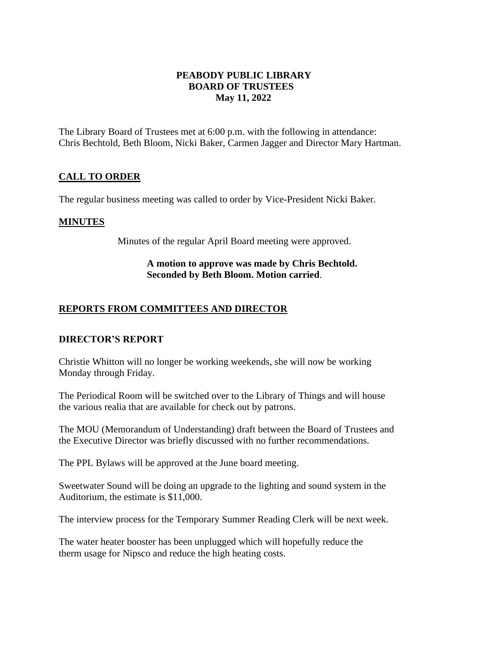#### **PEABODY PUBLIC LIBRARY BOARD OF TRUSTEES May 11, 2022**

The Library Board of Trustees met at 6:00 p.m. with the following in attendance: Chris Bechtold, Beth Bloom, Nicki Baker, Carmen Jagger and Director Mary Hartman.

### **CALL TO ORDER**

The regular business meeting was called to order by Vice-President Nicki Baker.

#### **MINUTES**

Minutes of the regular April Board meeting were approved.

#### **A motion to approve was made by Chris Bechtold. Seconded by Beth Bloom. Motion carried**.

#### **REPORTS FROM COMMITTEES AND DIRECTOR**

#### **DIRECTOR'S REPORT**

Christie Whitton will no longer be working weekends, she will now be working Monday through Friday.

The Periodical Room will be switched over to the Library of Things and will house the various realia that are available for check out by patrons.

The MOU (Memorandum of Understanding) draft between the Board of Trustees and the Executive Director was briefly discussed with no further recommendations.

The PPL Bylaws will be approved at the June board meeting.

Sweetwater Sound will be doing an upgrade to the lighting and sound system in the Auditorium, the estimate is \$11,000.

The interview process for the Temporary Summer Reading Clerk will be next week.

The water heater booster has been unplugged which will hopefully reduce the therm usage for Nipsco and reduce the high heating costs.